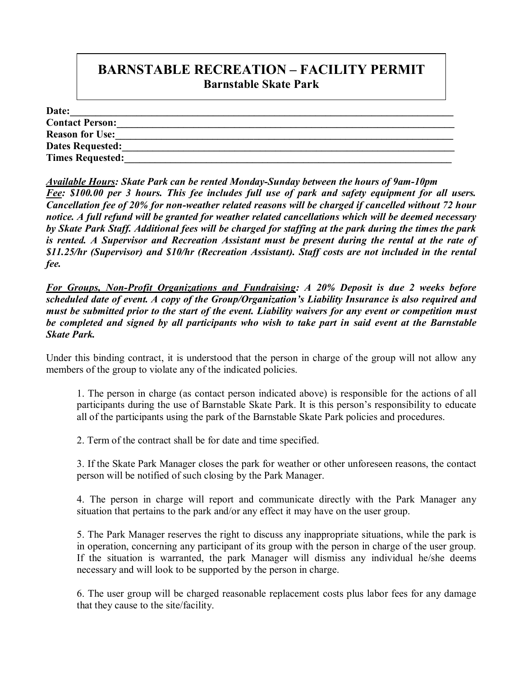## **BARNSTABLE RECREATION – FACILITY PERMIT Barnstable Skate Park**

| Date:                   |  |
|-------------------------|--|
| <b>Contact Person:</b>  |  |
| <b>Reason for Use:</b>  |  |
| <b>Dates Requested:</b> |  |
| <b>Times Requested:</b> |  |

*Available Hours: Skate Park can be rented Monday-Sunday between the hours of 9am-10pm Fee: \$100.00 per 3 hours. This fee includes full use of park and safety equipment for all users. Cancellation fee of 20% for non-weather related reasons will be charged if cancelled without 72 hour notice. A full refund will be granted for weather related cancellations which will be deemed necessary by Skate Park Staff. Additional fees will be charged for staffing at the park during the times the park is rented. A Supervisor and Recreation Assistant must be present during the rental at the rate of \$11.25/hr (Supervisor) and \$10/hr (Recreation Assistant). Staff costs are not included in the rental fee.*

*For Groups, Non-Profit Organizations and Fundraising: A 20% Deposit is due 2 weeks before scheduled date of event. A copy of the Group/Organization's Liability Insurance is also required and must be submitted prior to the start of the event. Liability waivers for any event or competition must be completed and signed by all participants who wish to take part in said event at the Barnstable Skate Park.*

Under this binding contract, it is understood that the person in charge of the group will not allow any members of the group to violate any of the indicated policies.

1. The person in charge (as contact person indicated above) is responsible for the actions of all participants during the use of Barnstable Skate Park. It is this person's responsibility to educate all of the participants using the park of the Barnstable Skate Park policies and procedures.

2. Term of the contract shall be for date and time specified.

3. If the Skate Park Manager closes the park for weather or other unforeseen reasons, the contact person will be notified of such closing by the Park Manager.

4. The person in charge will report and communicate directly with the Park Manager any situation that pertains to the park and/or any effect it may have on the user group.

5. The Park Manager reserves the right to discuss any inappropriate situations, while the park is in operation, concerning any participant of its group with the person in charge of the user group. If the situation is warranted, the park Manager will dismiss any individual he/she deems necessary and will look to be supported by the person in charge.

6. The user group will be charged reasonable replacement costs plus labor fees for any damage that they cause to the site/facility.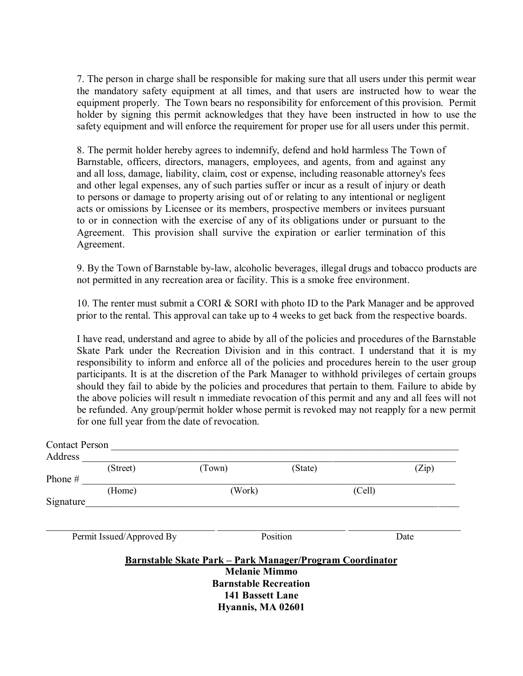7. The person in charge shall be responsible for making sure that all users under this permit wear the mandatory safety equipment at all times, and that users are instructed how to wear the equipment properly. The Town bears no responsibility for enforcement of this provision. Permit holder by signing this permit acknowledges that they have been instructed in how to use the safety equipment and will enforce the requirement for proper use for all users under this permit.

8. The permit holder hereby agrees to indemnify, defend and hold harmless The Town of Barnstable, officers, directors, managers, employees, and agents, from and against any and all loss, damage, liability, claim, cost or expense, including reasonable attorney's fees and other legal expenses, any of such parties suffer or incur as a result of injury or death to persons or damage to property arising out of or relating to any intentional or negligent acts or omissions by Licensee or its members, prospective members or invitees pursuant to or in connection with the exercise of any of its obligations under or pursuant to the Agreement. This provision shall survive the expiration or earlier termination of this Agreement.

9. By the Town of Barnstable by-law, alcoholic beverages, illegal drugs and tobacco products are not permitted in any recreation area or facility. This is a smoke free environment.

10. The renter must submit a CORI & SORI with photo ID to the Park Manager and be approved prior to the rental. This approval can take up to 4 weeks to get back from the respective boards.

I have read, understand and agree to abide by all of the policies and procedures of the Barnstable Skate Park under the Recreation Division and in this contract. I understand that it is my responsibility to inform and enforce all of the policies and procedures herein to the user group participants. It is at the discretion of the Park Manager to withhold privileges of certain groups should they fail to abide by the policies and procedures that pertain to them. Failure to abide by the above policies will result n immediate revocation of this permit and any and all fees will not be refunded. Any group/permit holder whose permit is revoked may not reapply for a new permit for one full year from the date of revocation.

| <b>Contact Person</b>                                                                                                                |          |                   |          |        |       |  |  |  |
|--------------------------------------------------------------------------------------------------------------------------------------|----------|-------------------|----------|--------|-------|--|--|--|
| Address                                                                                                                              |          |                   |          |        |       |  |  |  |
|                                                                                                                                      | (Street) | (Town)            | (State)  |        | (Zip) |  |  |  |
| Phone #                                                                                                                              |          |                   |          |        |       |  |  |  |
|                                                                                                                                      | (Home)   | (Work)            |          | (Cell) |       |  |  |  |
| Signature                                                                                                                            |          |                   |          |        |       |  |  |  |
| Permit Issued/Approved By                                                                                                            |          |                   | Position |        | Date  |  |  |  |
| Barnstable Skate Park – Park Manager/Program Coordinator<br><b>Melanie Mimmo</b><br><b>Barnstable Recreation</b><br>141 Bassett Lane |          |                   |          |        |       |  |  |  |
|                                                                                                                                      |          | Hyannis, MA 02601 |          |        |       |  |  |  |